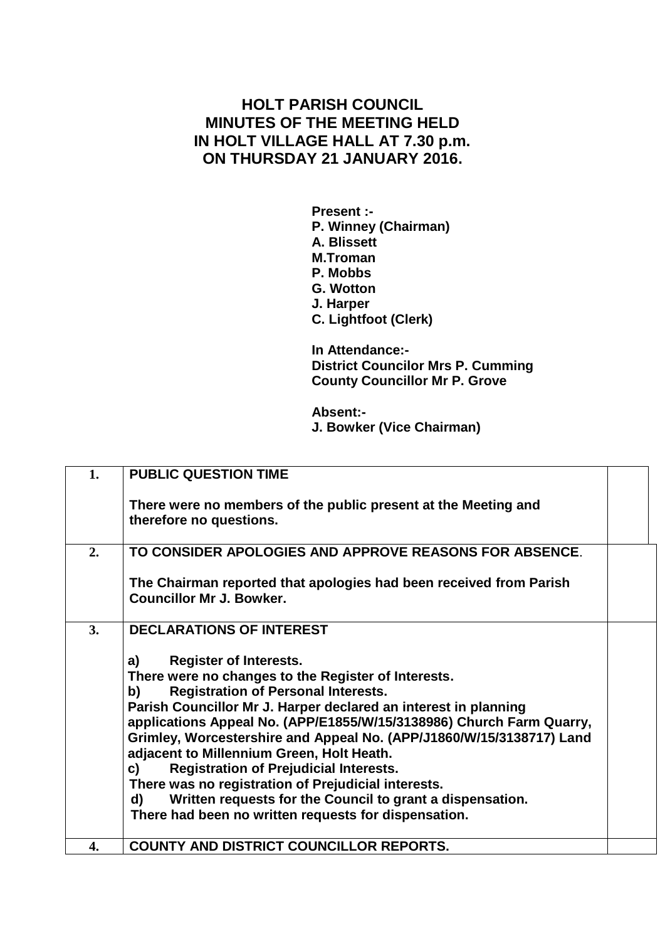## **HOLT PARISH COUNCIL MINUTES OF THE MEETING HELD IN HOLT VILLAGE HALL AT 7.30 p.m. ON THURSDAY 21 JANUARY 2016.**

**Present :- P. Winney (Chairman) A. Blissett M.Troman P. Mobbs G. Wotton J. Harper C. Lightfoot (Clerk)**

**In Attendance:- District Councilor Mrs P. Cumming County Councillor Mr P. Grove**

**Absent:- J. Bowker (Vice Chairman)**

| 1. | <b>PUBLIC QUESTION TIME</b>                                                                                                                                                                                                                                                                                                                                                                                                                                                                                                                                                                                                                             |  |
|----|---------------------------------------------------------------------------------------------------------------------------------------------------------------------------------------------------------------------------------------------------------------------------------------------------------------------------------------------------------------------------------------------------------------------------------------------------------------------------------------------------------------------------------------------------------------------------------------------------------------------------------------------------------|--|
|    | There were no members of the public present at the Meeting and<br>therefore no questions.                                                                                                                                                                                                                                                                                                                                                                                                                                                                                                                                                               |  |
| 2. | TO CONSIDER APOLOGIES AND APPROVE REASONS FOR ABSENCE.                                                                                                                                                                                                                                                                                                                                                                                                                                                                                                                                                                                                  |  |
|    | The Chairman reported that apologies had been received from Parish<br><b>Councillor Mr J. Bowker.</b>                                                                                                                                                                                                                                                                                                                                                                                                                                                                                                                                                   |  |
| 3. | <b>DECLARATIONS OF INTEREST</b>                                                                                                                                                                                                                                                                                                                                                                                                                                                                                                                                                                                                                         |  |
|    | <b>Register of Interests.</b><br>a)<br>There were no changes to the Register of Interests.<br><b>Registration of Personal Interests.</b><br>b)<br>Parish Councillor Mr J. Harper declared an interest in planning<br>applications Appeal No. (APP/E1855/W/15/3138986) Church Farm Quarry,<br>Grimley, Worcestershire and Appeal No. (APP/J1860/W/15/3138717) Land<br>adjacent to Millennium Green, Holt Heath.<br><b>Registration of Prejudicial Interests.</b><br>c)<br>There was no registration of Prejudicial interests.<br>Written requests for the Council to grant a dispensation.<br>d)<br>There had been no written requests for dispensation. |  |
| 4. | COUNTY AND DISTRICT COUNCILLOR REPORTS.                                                                                                                                                                                                                                                                                                                                                                                                                                                                                                                                                                                                                 |  |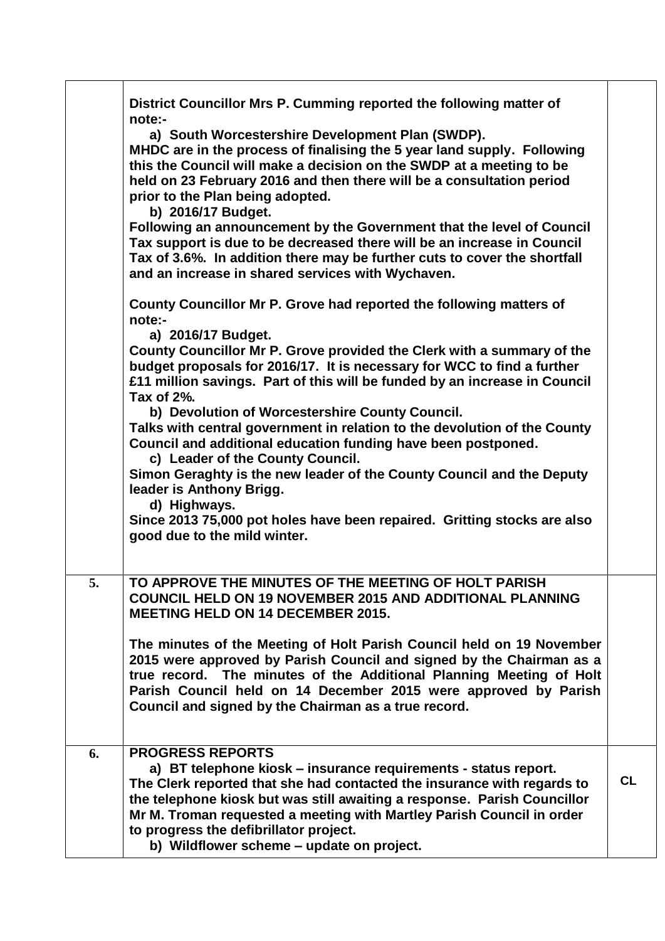|    | District Councillor Mrs P. Cumming reported the following matter of<br>note:-<br>a) South Worcestershire Development Plan (SWDP).<br>MHDC are in the process of finalising the 5 year land supply. Following<br>this the Council will make a decision on the SWDP at a meeting to be<br>held on 23 February 2016 and then there will be a consultation period<br>prior to the Plan being adopted.<br>b) 2016/17 Budget.<br>Following an announcement by the Government that the level of Council<br>Tax support is due to be decreased there will be an increase in Council<br>Tax of 3.6%. In addition there may be further cuts to cover the shortfall<br>and an increase in shared services with Wychaven.<br>County Councillor Mr P. Grove had reported the following matters of<br>note:-<br>a) 2016/17 Budget.<br>County Councillor Mr P. Grove provided the Clerk with a summary of the<br>budget proposals for 2016/17. It is necessary for WCC to find a further<br>£11 million savings. Part of this will be funded by an increase in Council<br>Tax of 2%.<br>b) Devolution of Worcestershire County Council.<br>Talks with central government in relation to the devolution of the County<br>Council and additional education funding have been postponed.<br>c) Leader of the County Council.<br>Simon Geraghty is the new leader of the County Council and the Deputy<br>leader is Anthony Brigg.<br>d) Highways.<br>Since 2013 75,000 pot holes have been repaired. Gritting stocks are also<br>good due to the mild winter. |           |
|----|---------------------------------------------------------------------------------------------------------------------------------------------------------------------------------------------------------------------------------------------------------------------------------------------------------------------------------------------------------------------------------------------------------------------------------------------------------------------------------------------------------------------------------------------------------------------------------------------------------------------------------------------------------------------------------------------------------------------------------------------------------------------------------------------------------------------------------------------------------------------------------------------------------------------------------------------------------------------------------------------------------------------------------------------------------------------------------------------------------------------------------------------------------------------------------------------------------------------------------------------------------------------------------------------------------------------------------------------------------------------------------------------------------------------------------------------------------------------------------------------------------------------------------------------|-----------|
| 5. | TO APPROVE THE MINUTES OF THE MEETING OF HOLT PARISH<br><b>COUNCIL HELD ON 19 NOVEMBER 2015 AND ADDITIONAL PLANNING</b><br><b>MEETING HELD ON 14 DECEMBER 2015.</b><br>The minutes of the Meeting of Holt Parish Council held on 19 November<br>2015 were approved by Parish Council and signed by the Chairman as a<br>true record. The minutes of the Additional Planning Meeting of Holt<br>Parish Council held on 14 December 2015 were approved by Parish<br>Council and signed by the Chairman as a true record.                                                                                                                                                                                                                                                                                                                                                                                                                                                                                                                                                                                                                                                                                                                                                                                                                                                                                                                                                                                                                      |           |
| 6. | <b>PROGRESS REPORTS</b><br>a) BT telephone kiosk – insurance requirements - status report.<br>The Clerk reported that she had contacted the insurance with regards to<br>the telephone kiosk but was still awaiting a response. Parish Councillor<br>Mr M. Troman requested a meeting with Martley Parish Council in order<br>to progress the defibrillator project.<br>b) Wildflower scheme - update on project.                                                                                                                                                                                                                                                                                                                                                                                                                                                                                                                                                                                                                                                                                                                                                                                                                                                                                                                                                                                                                                                                                                                           | <b>CL</b> |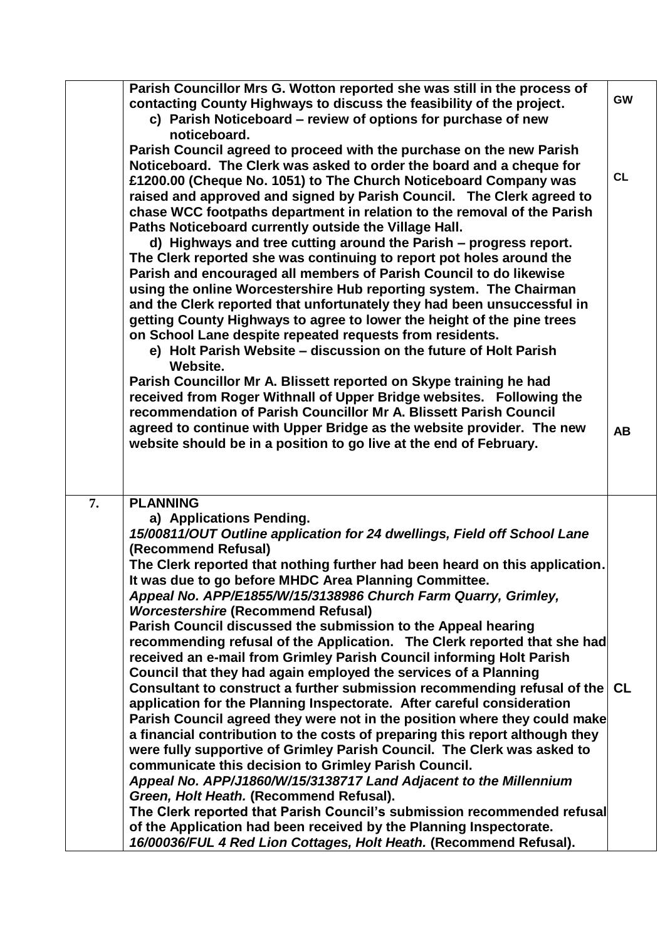|    | Parish Councillor Mrs G. Wotton reported she was still in the process of<br>contacting County Highways to discuss the feasibility of the project.<br>c) Parish Noticeboard – review of options for purchase of new<br>noticeboard.                                                                                                                                                                                                                                                                                                                                                                                                                                                                                                                                                                                                                                                                                                                                                                                                                                                                                                                                                                                                                                                                                  | <b>GW</b>              |
|----|---------------------------------------------------------------------------------------------------------------------------------------------------------------------------------------------------------------------------------------------------------------------------------------------------------------------------------------------------------------------------------------------------------------------------------------------------------------------------------------------------------------------------------------------------------------------------------------------------------------------------------------------------------------------------------------------------------------------------------------------------------------------------------------------------------------------------------------------------------------------------------------------------------------------------------------------------------------------------------------------------------------------------------------------------------------------------------------------------------------------------------------------------------------------------------------------------------------------------------------------------------------------------------------------------------------------|------------------------|
|    | Parish Council agreed to proceed with the purchase on the new Parish<br>Noticeboard. The Clerk was asked to order the board and a cheque for<br>£1200.00 (Cheque No. 1051) to The Church Noticeboard Company was<br>raised and approved and signed by Parish Council. The Clerk agreed to<br>chase WCC footpaths department in relation to the removal of the Parish<br>Paths Noticeboard currently outside the Village Hall.<br>d) Highways and tree cutting around the Parish – progress report.<br>The Clerk reported she was continuing to report pot holes around the<br>Parish and encouraged all members of Parish Council to do likewise<br>using the online Worcestershire Hub reporting system. The Chairman<br>and the Clerk reported that unfortunately they had been unsuccessful in<br>getting County Highways to agree to lower the height of the pine trees<br>on School Lane despite repeated requests from residents.<br>e) Holt Parish Website - discussion on the future of Holt Parish<br>Website.<br>Parish Councillor Mr A. Blissett reported on Skype training he had<br>received from Roger Withnall of Upper Bridge websites. Following the<br>recommendation of Parish Councillor Mr A. Blissett Parish Council<br>agreed to continue with Upper Bridge as the website provider. The new | <b>CL</b><br><b>AB</b> |
|    | website should be in a position to go live at the end of February.                                                                                                                                                                                                                                                                                                                                                                                                                                                                                                                                                                                                                                                                                                                                                                                                                                                                                                                                                                                                                                                                                                                                                                                                                                                  |                        |
|    |                                                                                                                                                                                                                                                                                                                                                                                                                                                                                                                                                                                                                                                                                                                                                                                                                                                                                                                                                                                                                                                                                                                                                                                                                                                                                                                     |                        |
| 7. | <b>PLANNING</b><br>a) Applications Pending.<br>15/00811/OUT Outline application for 24 dwellings, Field off School Lane<br>(Recommend Refusal)<br>The Clerk reported that nothing further had been heard on this application.<br>It was due to go before MHDC Area Planning Committee.<br>Appeal No. APP/E1855/W/15/3138986 Church Farm Quarry, Grimley,<br><b>Worcestershire (Recommend Refusal)</b>                                                                                                                                                                                                                                                                                                                                                                                                                                                                                                                                                                                                                                                                                                                                                                                                                                                                                                               |                        |
|    | Parish Council discussed the submission to the Appeal hearing<br>recommending refusal of the Application. The Clerk reported that she had<br>received an e-mail from Grimley Parish Council informing Holt Parish<br>Council that they had again employed the services of a Planning<br>Consultant to construct a further submission recommending refusal of the CL                                                                                                                                                                                                                                                                                                                                                                                                                                                                                                                                                                                                                                                                                                                                                                                                                                                                                                                                                 |                        |
|    | application for the Planning Inspectorate. After careful consideration<br>Parish Council agreed they were not in the position where they could make<br>a financial contribution to the costs of preparing this report although they<br>were fully supportive of Grimley Parish Council. The Clerk was asked to<br>communicate this decision to Grimley Parish Council.<br>Appeal No. APP/J1860/W/15/3138717 Land Adjacent to the Millennium                                                                                                                                                                                                                                                                                                                                                                                                                                                                                                                                                                                                                                                                                                                                                                                                                                                                         |                        |
|    | Green, Holt Heath. (Recommend Refusal).<br>The Clerk reported that Parish Council's submission recommended refusal<br>of the Application had been received by the Planning Inspectorate.<br>16/00036/FUL 4 Red Lion Cottages, Holt Heath. (Recommend Refusal).                                                                                                                                                                                                                                                                                                                                                                                                                                                                                                                                                                                                                                                                                                                                                                                                                                                                                                                                                                                                                                                      |                        |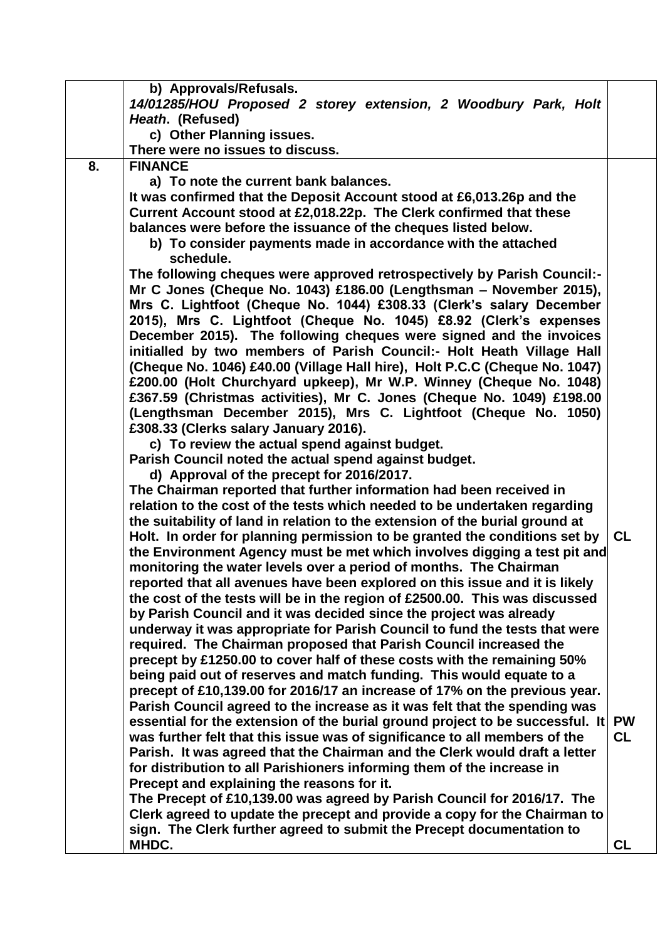|    | b) Approvals/Refusals.                                                                                                                                   |           |
|----|----------------------------------------------------------------------------------------------------------------------------------------------------------|-----------|
|    | 14/01285/HOU Proposed 2 storey extension, 2 Woodbury Park, Holt                                                                                          |           |
|    | Heath. (Refused)                                                                                                                                         |           |
|    | c) Other Planning issues.                                                                                                                                |           |
|    | There were no issues to discuss.                                                                                                                         |           |
| 8. | <b>FINANCE</b>                                                                                                                                           |           |
|    | a) To note the current bank balances.                                                                                                                    |           |
|    | It was confirmed that the Deposit Account stood at £6,013.26p and the                                                                                    |           |
|    | Current Account stood at £2,018.22p. The Clerk confirmed that these                                                                                      |           |
|    | balances were before the issuance of the cheques listed below.                                                                                           |           |
|    | b) To consider payments made in accordance with the attached                                                                                             |           |
|    | schedule.                                                                                                                                                |           |
|    | The following cheques were approved retrospectively by Parish Council:-                                                                                  |           |
|    | Mr C Jones (Cheque No. 1043) £186.00 (Lengthsman - November 2015),                                                                                       |           |
|    | Mrs C. Lightfoot (Cheque No. 1044) £308.33 (Clerk's salary December                                                                                      |           |
|    | 2015), Mrs C. Lightfoot (Cheque No. 1045) £8.92 (Clerk's expenses                                                                                        |           |
|    | December 2015). The following cheques were signed and the invoices                                                                                       |           |
|    | initialled by two members of Parish Council:- Holt Heath Village Hall                                                                                    |           |
|    | (Cheque No. 1046) £40.00 (Village Hall hire), Holt P.C.C (Cheque No. 1047)<br>£200.00 (Holt Churchyard upkeep), Mr W.P. Winney (Cheque No. 1048)         |           |
|    | £367.59 (Christmas activities), Mr C. Jones (Cheque No. 1049) £198.00                                                                                    |           |
|    | (Lengthsman December 2015), Mrs C. Lightfoot (Cheque No. 1050)                                                                                           |           |
|    | £308.33 (Clerks salary January 2016).                                                                                                                    |           |
|    | c) To review the actual spend against budget.                                                                                                            |           |
|    | Parish Council noted the actual spend against budget.                                                                                                    |           |
|    | d) Approval of the precept for 2016/2017.                                                                                                                |           |
|    | The Chairman reported that further information had been received in                                                                                      |           |
|    | relation to the cost of the tests which needed to be undertaken regarding                                                                                |           |
|    | the suitability of land in relation to the extension of the burial ground at                                                                             |           |
|    | Holt. In order for planning permission to be granted the conditions set by                                                                               | <b>CL</b> |
|    | the Environment Agency must be met which involves digging a test pit and                                                                                 |           |
|    | monitoring the water levels over a period of months. The Chairman                                                                                        |           |
|    | reported that all avenues have been explored on this issue and it is likely                                                                              |           |
|    | the cost of the tests will be in the region of £2500.00. This was discussed                                                                              |           |
|    | by Parish Council and it was decided since the project was already                                                                                       |           |
|    | underway it was appropriate for Parish Council to fund the tests that were                                                                               |           |
|    | required. The Chairman proposed that Parish Council increased the                                                                                        |           |
|    | precept by £1250.00 to cover half of these costs with the remaining 50%                                                                                  |           |
|    | being paid out of reserves and match funding. This would equate to a                                                                                     |           |
|    | precept of £10,139.00 for 2016/17 an increase of 17% on the previous year.                                                                               |           |
|    | Parish Council agreed to the increase as it was felt that the spending was                                                                               |           |
|    | essential for the extension of the burial ground project to be successful. It                                                                            | <b>PW</b> |
|    | was further felt that this issue was of significance to all members of the<br>Parish. It was agreed that the Chairman and the Clerk would draft a letter | <b>CL</b> |
|    | for distribution to all Parishioners informing them of the increase in                                                                                   |           |
|    | Precept and explaining the reasons for it.                                                                                                               |           |
|    | The Precept of £10,139.00 was agreed by Parish Council for 2016/17. The                                                                                  |           |
|    | Clerk agreed to update the precept and provide a copy for the Chairman to                                                                                |           |
|    | sign. The Clerk further agreed to submit the Precept documentation to                                                                                    |           |
|    | MHDC.                                                                                                                                                    | <b>CL</b> |
|    |                                                                                                                                                          |           |